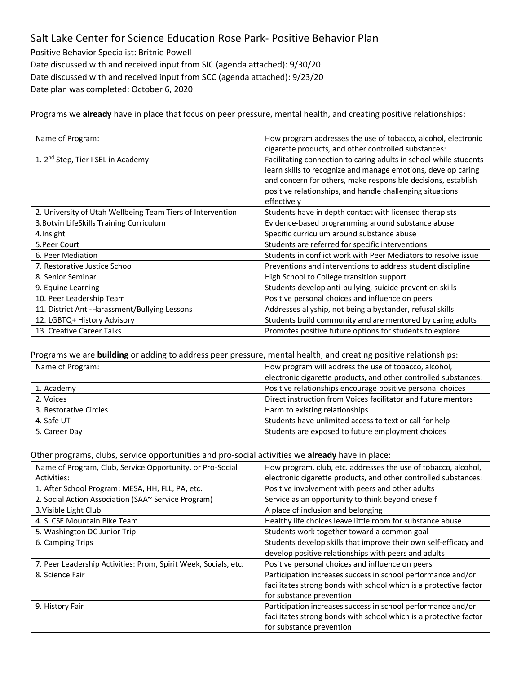## Salt Lake Center for Science Education Rose Park- Positive Behavior Plan

Positive Behavior Specialist: Britnie Powell Date discussed with and received input from SIC (agenda attached): 9/30/20 Date discussed with and received input from SCC (agenda attached): 9/23/20 Date plan was completed: October 6, 2020

Programs we **already** have in place that focus on peer pressure, mental health, and creating positive relationships:

| Name of Program:                                           | How program addresses the use of tobacco, alcohol, electronic     |
|------------------------------------------------------------|-------------------------------------------------------------------|
|                                                            | cigarette products, and other controlled substances:              |
| 1. 2 <sup>nd</sup> Step, Tier I SEL in Academy             | Facilitating connection to caring adults in school while students |
|                                                            | learn skills to recognize and manage emotions, develop caring     |
|                                                            | and concern for others, make responsible decisions, establish     |
|                                                            | positive relationships, and handle challenging situations         |
|                                                            | effectively                                                       |
| 2. University of Utah Wellbeing Team Tiers of Intervention | Students have in depth contact with licensed therapists           |
| 3. Botvin LifeSkills Training Curriculum                   | Evidence-based programming around substance abuse                 |
| 4. Insight                                                 | Specific curriculum around substance abuse                        |
| 5. Peer Court                                              | Students are referred for specific interventions                  |
| 6. Peer Mediation                                          | Students in conflict work with Peer Mediators to resolve issue    |
| 7. Restorative Justice School                              | Preventions and interventions to address student discipline       |
| 8. Senior Seminar                                          | High School to College transition support                         |
| 9. Equine Learning                                         | Students develop anti-bullying, suicide prevention skills         |
| 10. Peer Leadership Team                                   | Positive personal choices and influence on peers                  |
| 11. District Anti-Harassment/Bullying Lessons              | Addresses allyship, not being a bystander, refusal skills         |
| 12. LGBTQ+ History Advisory                                | Students build community and are mentored by caring adults        |
| 13. Creative Career Talks                                  | Promotes positive future options for students to explore          |

## Programs we are **building** or adding to address peer pressure, mental health, and creating positive relationships:

| Name of Program:       | How program will address the use of tobacco, alcohol,           |
|------------------------|-----------------------------------------------------------------|
|                        | electronic cigarette products, and other controlled substances: |
| 1. Academy             | Positive relationships encourage positive personal choices      |
| 2. Voices              | Direct instruction from Voices facilitator and future mentors   |
| 3. Restorative Circles | Harm to existing relationships                                  |
| 4. Safe UT             | Students have unlimited access to text or call for help         |
| 5. Career Day          | Students are exposed to future employment choices               |

## Other programs, clubs, service opportunities and pro-social activities we **already** have in place:

| Name of Program, Club, Service Opportunity, or Pro-Social       | How program, club, etc. addresses the use of tobacco, alcohol,    |
|-----------------------------------------------------------------|-------------------------------------------------------------------|
| Activities:                                                     | electronic cigarette products, and other controlled substances:   |
| 1. After School Program: MESA, HH, FLL, PA, etc.                | Positive involvement with peers and other adults                  |
| 2. Social Action Association (SAA~ Service Program)             | Service as an opportunity to think beyond oneself                 |
| 3. Visible Light Club                                           | A place of inclusion and belonging                                |
| 4. SLCSE Mountain Bike Team                                     | Healthy life choices leave little room for substance abuse        |
| 5. Washington DC Junior Trip                                    | Students work together toward a common goal                       |
| 6. Camping Trips                                                | Students develop skills that improve their own self-efficacy and  |
|                                                                 | develop positive relationships with peers and adults              |
| 7. Peer Leadership Activities: Prom, Spirit Week, Socials, etc. | Positive personal choices and influence on peers                  |
| 8. Science Fair                                                 | Participation increases success in school performance and/or      |
|                                                                 | facilitates strong bonds with school which is a protective factor |
|                                                                 | for substance prevention                                          |
| 9. History Fair                                                 | Participation increases success in school performance and/or      |
|                                                                 | facilitates strong bonds with school which is a protective factor |
|                                                                 | for substance prevention                                          |